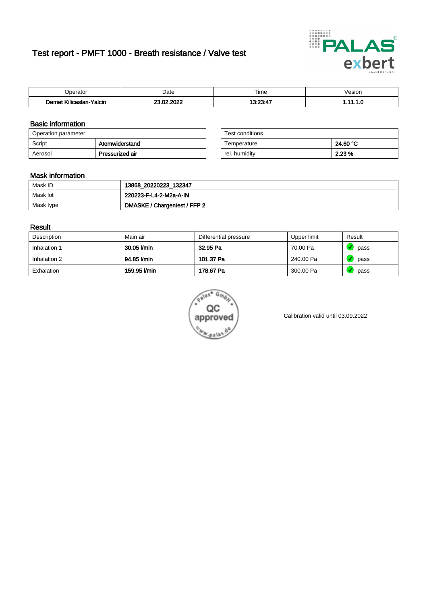# Test report - PMFT 1000 - Breath resistance / Valve test



| n<br>aw                                                                | Date                     | $- \cdot$<br>l ime | esion/ |
|------------------------------------------------------------------------|--------------------------|--------------------|--------|
| -<br>1000 <sub>1</sub><br><b>Yalcin</b><br>aslan<br>KIIIC <sup>2</sup> | 000<br>c.<br>$\sim$<br>. | 0.00.47            | .      |

### Basic information

| Operation parameter |                 | Test conditions |          |
|---------------------|-----------------|-----------------|----------|
| Script              | Atemwiderstand  | Temperature     | 24.60 °C |
| Aerosol             | Pressurized air | rel. humidity   | 2.23 %   |

| Test conditions |          |
|-----------------|----------|
| Temperature     | 24.60 °C |
| rel. humidity   | 2.23 %   |

### Mask information

| Mask ID   | 13868_20220223_132347        |
|-----------|------------------------------|
| Mask lot  | 220223-F-L4-2-M2a-A-IN       |
| Mask type | DMASKE / Chargentest / FFP 2 |

### Result

| Description  | Main air     | Differential pressure | Upper limit | Result |
|--------------|--------------|-----------------------|-------------|--------|
| Inhalation 1 | 30.05 l/min  | 32.95 Pa              | 70.00 Pa    | pass   |
| Inhalation 2 | 94.85 l/min  | 101.37 Pa             | 240.00 Pa   | pass   |
| Exhalation   | 159.95 l/min | 178.67 Pa             | 300.00 Pa   | pass   |



Calibration valid until 03.09.2022